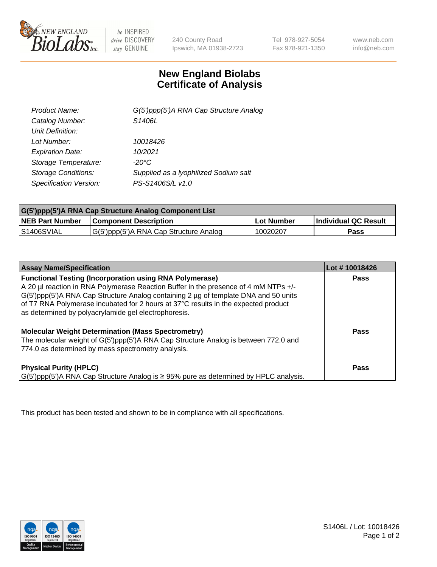

be INSPIRED drive DISCOVERY stay GENUINE

240 County Road Ipswich, MA 01938-2723 Tel 978-927-5054 Fax 978-921-1350

www.neb.com info@neb.com

## **New England Biolabs Certificate of Analysis**

| Product Name:              | G(5')ppp(5')A RNA Cap Structure Analog |
|----------------------------|----------------------------------------|
| Catalog Number:            | S1406L                                 |
| Unit Definition:           |                                        |
| Lot Number:                | 10018426                               |
| <b>Expiration Date:</b>    | 10/2021                                |
| Storage Temperature:       | $-20^{\circ}$ C                        |
| <b>Storage Conditions:</b> | Supplied as a lyophilized Sodium salt  |
| Specification Version:     | PS-S1406S/L v1.0                       |

| G(5')ppp(5')A RNA Cap Structure Analog Component List |                                        |             |                      |  |
|-------------------------------------------------------|----------------------------------------|-------------|----------------------|--|
| <b>NEB Part Number</b>                                | <b>Component Description</b>           | ∣Lot Number | Individual QC Result |  |
| IS1406SVIAL                                           | G(5')ppp(5')A RNA Cap Structure Analog | 10020207    | Pass                 |  |

| <b>Assay Name/Specification</b>                                                                                                                                                                                                                                                                                                    | Lot #10018426 |
|------------------------------------------------------------------------------------------------------------------------------------------------------------------------------------------------------------------------------------------------------------------------------------------------------------------------------------|---------------|
| <b>Functional Testing (Incorporation using RNA Polymerase)</b><br>A 20 µl reaction in RNA Polymerase Reaction Buffer in the presence of 4 mM NTPs +/-<br>G(5')ppp(5')A RNA Cap Structure Analog containing 2 µg of template DNA and 50 units<br>of T7 RNA Polymerase incubated for 2 hours at 37°C results in the expected product | <b>Pass</b>   |
| as determined by polyacrylamide gel electrophoresis.<br><b>Molecular Weight Determination (Mass Spectrometry)</b><br>The molecular weight of G(5')ppp(5')A RNA Cap Structure Analog is between 772.0 and<br>774.0 as determined by mass spectrometry analysis.                                                                     | Pass          |
| <b>Physical Purity (HPLC)</b><br>$\mid$ G(5')ppp(5')A RNA Cap Structure Analog is $\geq$ 95% pure as determined by HPLC analysis.                                                                                                                                                                                                  | Pass          |

This product has been tested and shown to be in compliance with all specifications.